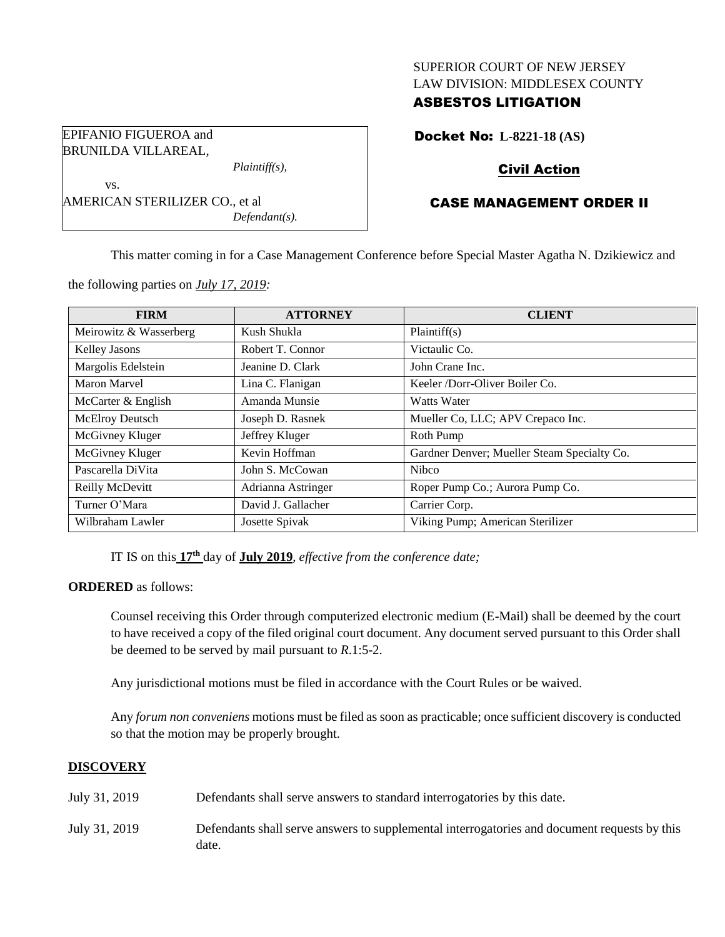## SUPERIOR COURT OF NEW JERSEY LAW DIVISION: MIDDLESEX COUNTY

## ASBESTOS LITIGATION

Docket No: **L-8221-18 (AS)**

# Civil Action

# CASE MANAGEMENT ORDER II

This matter coming in for a Case Management Conference before Special Master Agatha N. Dzikiewicz and

the following parties on *July 17, 2019:*

| <b>FIRM</b>            | <b>ATTORNEY</b>    | <b>CLIENT</b>                               |
|------------------------|--------------------|---------------------------------------------|
| Meirowitz & Wasserberg | Kush Shukla        | Plaintiff(s)                                |
| <b>Kelley Jasons</b>   | Robert T. Connor   | Victaulic Co.                               |
| Margolis Edelstein     | Jeanine D. Clark   | John Crane Inc.                             |
| <b>Maron Marvel</b>    | Lina C. Flanigan   | Keeler /Dorr-Oliver Boiler Co.              |
| McCarter & English     | Amanda Munsie      | Watts Water                                 |
| McElroy Deutsch        | Joseph D. Rasnek   | Mueller Co, LLC; APV Crepaco Inc.           |
| McGivney Kluger        | Jeffrey Kluger     | Roth Pump                                   |
| McGivney Kluger        | Kevin Hoffman      | Gardner Denver; Mueller Steam Specialty Co. |
| Pascarella DiVita      | John S. McCowan    | <b>Nibco</b>                                |
| Reilly McDevitt        | Adrianna Astringer | Roper Pump Co.; Aurora Pump Co.             |
| Turner O'Mara          | David J. Gallacher | Carrier Corp.                               |
| Wilbraham Lawler       | Josette Spivak     | Viking Pump; American Sterilizer            |

IT IS on this **17 th** day of **July 2019**, *effective from the conference date;*

**ORDERED** as follows:

Counsel receiving this Order through computerized electronic medium (E-Mail) shall be deemed by the court to have received a copy of the filed original court document. Any document served pursuant to this Order shall be deemed to be served by mail pursuant to *R*.1:5-2.

Any jurisdictional motions must be filed in accordance with the Court Rules or be waived.

Any *forum non conveniens* motions must be filed as soon as practicable; once sufficient discovery is conducted so that the motion may be properly brought.

## **DISCOVERY**

- July 31, 2019 Defendants shall serve answers to standard interrogatories by this date.
- July 31, 2019 Defendants shall serve answers to supplemental interrogatories and document requests by this date.

EPIFANIO FIGUEROA and BRUNILDA VILLAREAL,

AMERICAN STERILIZER CO., et al

vs.

*Plaintiff(s),*

*Defendant(s).*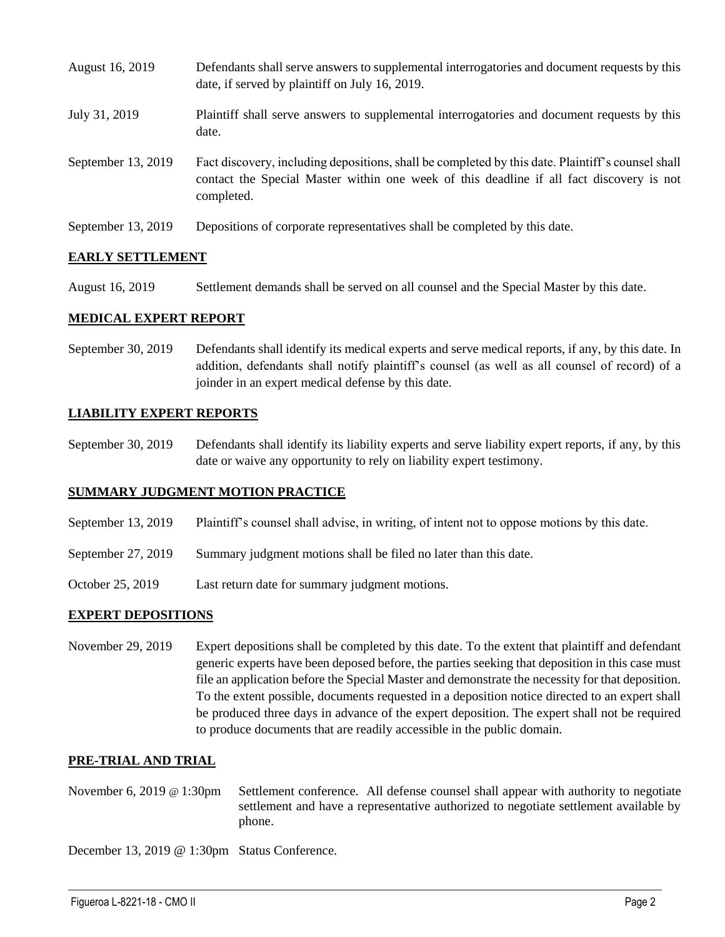| August 16, 2019    | Defendants shall serve answers to supplemental interrogatories and document requests by this<br>date, if served by plaintiff on July 16, 2019.                                                              |
|--------------------|-------------------------------------------------------------------------------------------------------------------------------------------------------------------------------------------------------------|
| July 31, 2019      | Plaintiff shall serve answers to supplemental interrogatories and document requests by this<br>date.                                                                                                        |
| September 13, 2019 | Fact discovery, including depositions, shall be completed by this date. Plaintiff's counsel shall<br>contact the Special Master within one week of this deadline if all fact discovery is not<br>completed. |
| September 13, 2019 | Depositions of corporate representatives shall be completed by this date.                                                                                                                                   |

### **EARLY SETTLEMENT**

August 16, 2019 Settlement demands shall be served on all counsel and the Special Master by this date.

#### **MEDICAL EXPERT REPORT**

September 30, 2019 Defendants shall identify its medical experts and serve medical reports, if any, by this date. In addition, defendants shall notify plaintiff's counsel (as well as all counsel of record) of a joinder in an expert medical defense by this date.

### **LIABILITY EXPERT REPORTS**

September 30, 2019 Defendants shall identify its liability experts and serve liability expert reports, if any, by this date or waive any opportunity to rely on liability expert testimony.

#### **SUMMARY JUDGMENT MOTION PRACTICE**

- September 13, 2019 Plaintiff's counsel shall advise, in writing, of intent not to oppose motions by this date.
- September 27, 2019 Summary judgment motions shall be filed no later than this date.
- October 25, 2019 Last return date for summary judgment motions.

#### **EXPERT DEPOSITIONS**

November 29, 2019 Expert depositions shall be completed by this date. To the extent that plaintiff and defendant generic experts have been deposed before, the parties seeking that deposition in this case must file an application before the Special Master and demonstrate the necessity for that deposition. To the extent possible, documents requested in a deposition notice directed to an expert shall be produced three days in advance of the expert deposition. The expert shall not be required to produce documents that are readily accessible in the public domain.

#### **PRE-TRIAL AND TRIAL**

November 6, 2019 @ 1:30pm Settlement conference. All defense counsel shall appear with authority to negotiate settlement and have a representative authorized to negotiate settlement available by phone.

 $\_$  , and the set of the set of the set of the set of the set of the set of the set of the set of the set of the set of the set of the set of the set of the set of the set of the set of the set of the set of the set of th

December 13, 2019 @ 1:30pm Status Conference.